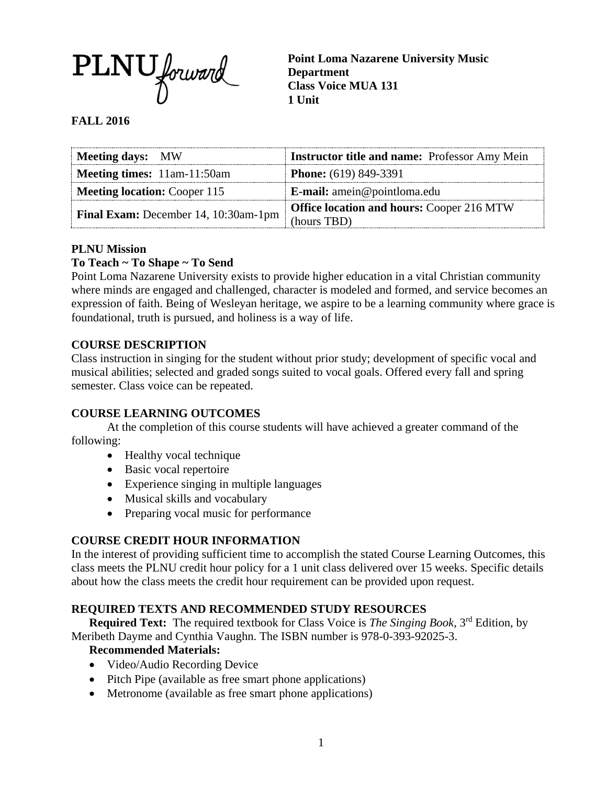

**Point Loma Nazarene University Music Department Class Voice MUA 131 1 Unit**

# **FALL 2016**

| <b>Meeting days:</b> MW              | <b>Instructor title and name:</b> Professor Amy Mein |
|--------------------------------------|------------------------------------------------------|
| Meeting times: 11am-11:50am          | <b>Phone:</b> (619) 849-3391                         |
| <b>Meeting location: Cooper 115</b>  | E-mail: amein@pointloma.edu                          |
| Final Exam: December 14, 10:30am-1pm | <b>Office location and hours: Cooper 216 MTW</b>     |
|                                      | (hours TBD)                                          |

### **PLNU Mission**

## **To Teach ~ To Shape ~ To Send**

Point Loma Nazarene University exists to provide higher education in a vital Christian community where minds are engaged and challenged, character is modeled and formed, and service becomes an expression of faith. Being of Wesleyan heritage, we aspire to be a learning community where grace is foundational, truth is pursued, and holiness is a way of life.

## **COURSE DESCRIPTION**

Class instruction in singing for the student without prior study; development of specific vocal and musical abilities; selected and graded songs suited to vocal goals. Offered every fall and spring semester. Class voice can be repeated.

### **COURSE LEARNING OUTCOMES**

At the completion of this course students will have achieved a greater command of the following:

- Healthy vocal technique
- Basic vocal repertoire
- Experience singing in multiple languages
- Musical skills and vocabulary
- Preparing vocal music for performance

## **COURSE CREDIT HOUR INFORMATION**

In the interest of providing sufficient time to accomplish the stated Course Learning Outcomes, this class meets the PLNU credit hour policy for a 1 unit class delivered over 15 weeks. Specific details about how the class meets the credit hour requirement can be provided upon request.

### **REQUIRED TEXTS AND RECOMMENDED STUDY RESOURCES**

**Required Text:** The required textbook for Class Voice is *The Singing Book*, 3<sup>rd</sup> Edition, by Meribeth Dayme and Cynthia Vaughn. The ISBN number is 978-0-393-92025-3.

### **Recommended Materials:**

- Video/Audio Recording Device
- Pitch Pipe (available as free smart phone applications)
- Metronome (available as free smart phone applications)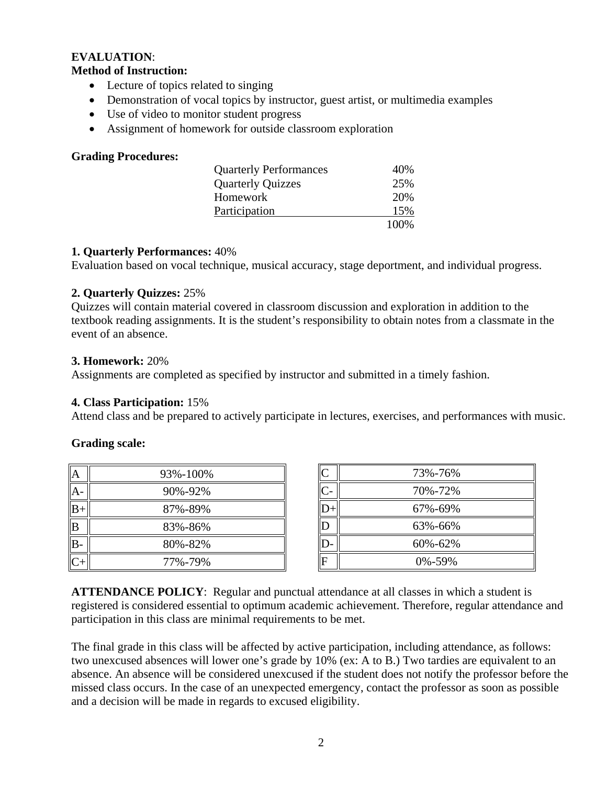### **EVALUATION**: **Method of Instruction:**

- Lecture of topics related to singing
- Demonstration of vocal topics by instructor, guest artist, or multimedia examples
- Use of video to monitor student progress
- Assignment of homework for outside classroom exploration

## **Grading Procedures:**

| <b>Quarterly Performances</b> | 40\%  |
|-------------------------------|-------|
| <b>Quarterly Quizzes</b>      | 25%   |
| Homework                      | 20%   |
| Participation                 | 15%   |
|                               | 100\% |

### **1. Quarterly Performances:** 40%

Evaluation based on vocal technique, musical accuracy, stage deportment, and individual progress.

## **2. Quarterly Quizzes:** 25%

Quizzes will contain material covered in classroom discussion and exploration in addition to the textbook reading assignments. It is the student's responsibility to obtain notes from a classmate in the event of an absence.

### **3. Homework:** 20%

Assignments are completed as specified by instructor and submitted in a timely fashion.

### **4. Class Participation:** 15%

Attend class and be prepared to actively participate in lectures, exercises, and performances with music.

### **Grading scale:**

|      | 93%-100% |
|------|----------|
|      | 90%-92%  |
| $B+$ | 87%-89%  |
| B    | 83%-86%  |
| IB.  | 80%-82%  |
|      | 77%-79%  |

| $\mathsf{C}$   | 73%-76%      |
|----------------|--------------|
| $C-$           | 70%-72%      |
| $D-$           | 67%-69%      |
| D              | 63%-66%      |
| D              | 60%-62%      |
| $\overline{F}$ | $0\% - 59\%$ |

**ATTENDANCE POLICY**: Regular and punctual attendance at all classes in which a student is registered is considered essential to optimum academic achievement. Therefore, regular attendance and participation in this class are minimal requirements to be met.

The final grade in this class will be affected by active participation, including attendance, as follows: two unexcused absences will lower one's grade by 10% (ex: A to B.) Two tardies are equivalent to an absence. An absence will be considered unexcused if the student does not notify the professor before the missed class occurs. In the case of an unexpected emergency, contact the professor as soon as possible and a decision will be made in regards to excused eligibility.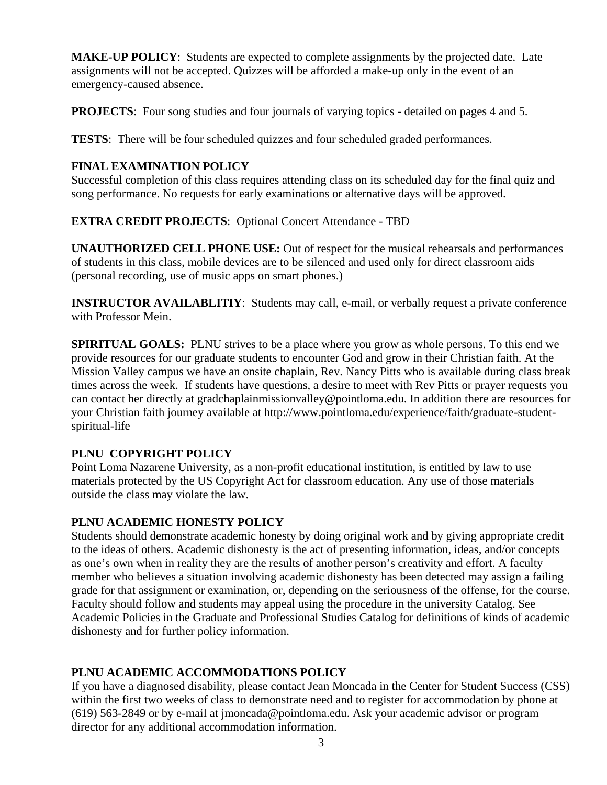**MAKE-UP POLICY**: Students are expected to complete assignments by the projected date. Late assignments will not be accepted. Quizzes will be afforded a make-up only in the event of an emergency-caused absence.

**PROJECTS:** Four song studies and four journals of varying topics - detailed on pages 4 and 5.

**TESTS**: There will be four scheduled quizzes and four scheduled graded performances.

# **FINAL EXAMINATION POLICY**

Successful completion of this class requires attending class on its scheduled day for the final quiz and song performance. No requests for early examinations or alternative days will be approved.

# **EXTRA CREDIT PROJECTS**: Optional Concert Attendance - TBD

**UNAUTHORIZED CELL PHONE USE:** Out of respect for the musical rehearsals and performances of students in this class, mobile devices are to be silenced and used only for direct classroom aids (personal recording, use of music apps on smart phones.)

**INSTRUCTOR AVAILABLITIY:** Students may call, e-mail, or verbally request a private conference with Professor Mein.

**SPIRITUAL GOALS:** PLNU strives to be a place where you grow as whole persons. To this end we provide resources for our graduate students to encounter God and grow in their Christian faith. At the Mission Valley campus we have an onsite chaplain, Rev. Nancy Pitts who is available during class break times across the week. If students have questions, a desire to meet with Rev Pitts or prayer requests you can contact her directly at gradchaplainmissionvalley@pointloma.edu. In addition there are resources for your Christian faith journey available at http://www.pointloma.edu/experience/faith/graduate-studentspiritual-life

# **PLNU COPYRIGHT POLICY**

Point Loma Nazarene University, as a non-profit educational institution, is entitled by law to use materials protected by the US Copyright Act for classroom education. Any use of those materials outside the class may violate the law.

# **PLNU ACADEMIC HONESTY POLICY**

Students should demonstrate academic honesty by doing original work and by giving appropriate credit to the ideas of others. Academic dishonesty is the act of presenting information, ideas, and/or concepts as one's own when in reality they are the results of another person's creativity and effort. A faculty member who believes a situation involving academic dishonesty has been detected may assign a failing grade for that assignment or examination, or, depending on the seriousness of the offense, for the course. Faculty should follow and students may appeal using the procedure in the university Catalog. See Academic Policies in the Graduate and Professional Studies Catalog for definitions of kinds of academic dishonesty and for further policy information.

# **PLNU ACADEMIC ACCOMMODATIONS POLICY**

If you have a diagnosed disability, please contact Jean Moncada in the Center for Student Success (CSS) within the first two weeks of class to demonstrate need and to register for accommodation by phone at (619) 563-2849 or by e-mail at jmoncada@pointloma.edu. Ask your academic advisor or program director for any additional accommodation information.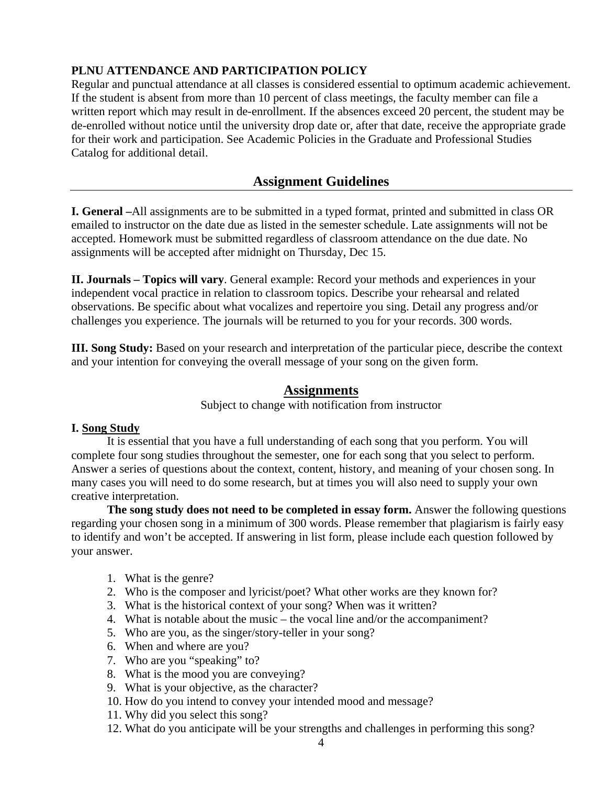# **PLNU ATTENDANCE AND PARTICIPATION POLICY**

Regular and punctual attendance at all classes is considered essential to optimum academic achievement. If the student is absent from more than 10 percent of class meetings, the faculty member can file a written report which may result in de-enrollment. If the absences exceed 20 percent, the student may be de-enrolled without notice until the university drop date or, after that date, receive the appropriate grade for their work and participation. See Academic Policies in the Graduate and Professional Studies Catalog for additional detail.

# **Assignment Guidelines**

**I. General –**All assignments are to be submitted in a typed format, printed and submitted in class OR emailed to instructor on the date due as listed in the semester schedule. Late assignments will not be accepted. Homework must be submitted regardless of classroom attendance on the due date. No assignments will be accepted after midnight on Thursday, Dec 15.

**II. Journals – Topics will vary**. General example: Record your methods and experiences in your independent vocal practice in relation to classroom topics. Describe your rehearsal and related observations. Be specific about what vocalizes and repertoire you sing. Detail any progress and/or challenges you experience. The journals will be returned to you for your records. 300 words.

**III. Song Study:** Based on your research and interpretation of the particular piece, describe the context and your intention for conveying the overall message of your song on the given form.

## **Assignments**

Subject to change with notification from instructor

### **I. Song Study**

It is essential that you have a full understanding of each song that you perform. You will complete four song studies throughout the semester, one for each song that you select to perform. Answer a series of questions about the context, content, history, and meaning of your chosen song. In many cases you will need to do some research, but at times you will also need to supply your own creative interpretation.

**The song study does not need to be completed in essay form.** Answer the following questions regarding your chosen song in a minimum of 300 words. Please remember that plagiarism is fairly easy to identify and won't be accepted. If answering in list form, please include each question followed by your answer.

- 1. What is the genre?
- 2. Who is the composer and lyricist/poet? What other works are they known for?
- 3. What is the historical context of your song? When was it written?
- 4. What is notable about the music the vocal line and/or the accompaniment?
- 5. Who are you, as the singer/story-teller in your song?
- 6. When and where are you?
- 7. Who are you "speaking" to?
- 8. What is the mood you are conveying?
- 9. What is your objective, as the character?
- 10. How do you intend to convey your intended mood and message?
- 11. Why did you select this song?
- 12. What do you anticipate will be your strengths and challenges in performing this song?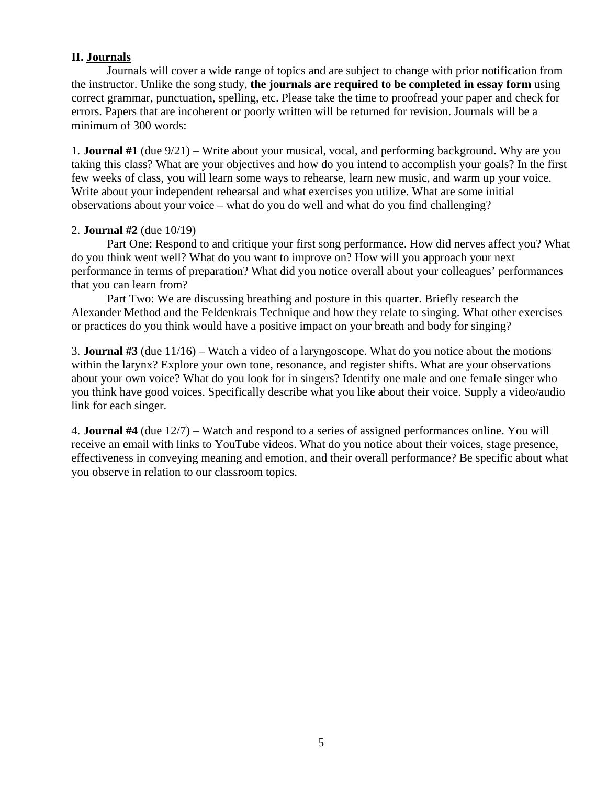## **II. Journals**

Journals will cover a wide range of topics and are subject to change with prior notification from the instructor. Unlike the song study, **the journals are required to be completed in essay form** using correct grammar, punctuation, spelling, etc. Please take the time to proofread your paper and check for errors. Papers that are incoherent or poorly written will be returned for revision. Journals will be a minimum of 300 words:

1. **Journal #1** (due 9/21) – Write about your musical, vocal, and performing background. Why are you taking this class? What are your objectives and how do you intend to accomplish your goals? In the first few weeks of class, you will learn some ways to rehearse, learn new music, and warm up your voice. Write about your independent rehearsal and what exercises you utilize. What are some initial observations about your voice – what do you do well and what do you find challenging?

## 2. **Journal #2** (due 10/19)

Part One: Respond to and critique your first song performance. How did nerves affect you? What do you think went well? What do you want to improve on? How will you approach your next performance in terms of preparation? What did you notice overall about your colleagues' performances that you can learn from?

Part Two: We are discussing breathing and posture in this quarter. Briefly research the Alexander Method and the Feldenkrais Technique and how they relate to singing. What other exercises or practices do you think would have a positive impact on your breath and body for singing?

3. **Journal #3** (due 11/16) – Watch a video of a laryngoscope. What do you notice about the motions within the larynx? Explore your own tone, resonance, and register shifts. What are your observations about your own voice? What do you look for in singers? Identify one male and one female singer who you think have good voices. Specifically describe what you like about their voice. Supply a video/audio link for each singer.

4. **Journal #4** (due 12/7) – Watch and respond to a series of assigned performances online. You will receive an email with links to YouTube videos. What do you notice about their voices, stage presence, effectiveness in conveying meaning and emotion, and their overall performance? Be specific about what you observe in relation to our classroom topics.